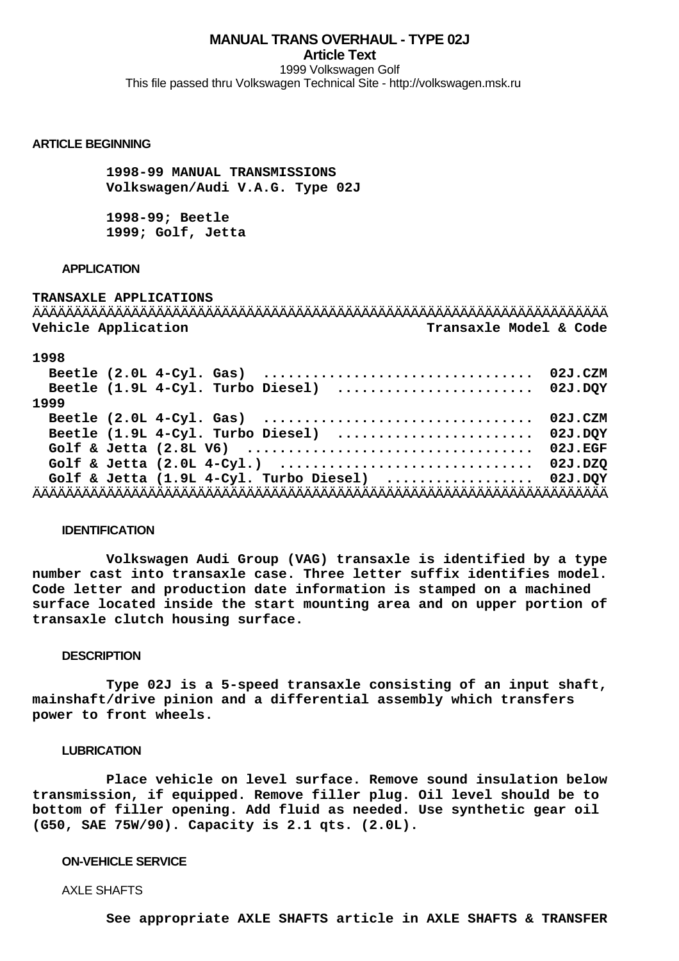# **MANUAL TRANS OVERHAUL - TYPE 02J Article Text** 1999 Volkswagen Golf

This file passed thru Volkswagen Technical Site - http://volkswagen.msk.ru

### **ARTICLE BEGINNING**

 **1998-99 MANUAL TRANSMISSIONS Volkswagen/Audi V.A.G. Type 02J**

 **1998-99; Beetle 1999; Golf, Jetta**

## **APPLICATION**

**TRANSAXLE APPLICATIONS** ÄÄÄÄÄÄÄÄÄÄÄÄÄÄÄÄÄÄÄÄÄÄÄÄÄÄÄÄÄÄÄÄÄÄÄÄÄÄÄÄÄÄÄÄÄÄÄÄÄÄÄÄÄÄÄÄÄÄÄÄÄÄÄÄÄÄÄÄÄÄ **Vehicle Application Transaxle Model & Code**

#### **1998**

| Beetle (1.9L 4-Cyl. Turbo Diesel)  02J.DQY         |  |  |  |  |  |  |                                            |
|----------------------------------------------------|--|--|--|--|--|--|--------------------------------------------|
| 1999                                               |  |  |  |  |  |  |                                            |
|                                                    |  |  |  |  |  |  |                                            |
|                                                    |  |  |  |  |  |  | Beetle (1.9L 4-Cyl. Turbo Diesel)  02J.DQY |
|                                                    |  |  |  |  |  |  |                                            |
|                                                    |  |  |  |  |  |  |                                            |
| Golf & Jetta $(1.9L 4-Cy1.$ Turbo Diesel)  02J.DQY |  |  |  |  |  |  |                                            |
|                                                    |  |  |  |  |  |  |                                            |

### **IDENTIFICATION**

 **Volkswagen Audi Group (VAG) transaxle is identified by a type number cast into transaxle case. Three letter suffix identifies model. Code letter and production date information is stamped on a machined surface located inside the start mounting area and on upper portion of transaxle clutch housing surface.**

### **DESCRIPTION**

 **Type 02J is a 5-speed transaxle consisting of an input shaft, mainshaft/drive pinion and a differential assembly which transfers power to front wheels.**

## **LUBRICATION**

 **Place vehicle on level surface. Remove sound insulation below transmission, if equipped. Remove filler plug. Oil level should be to bottom of filler opening. Add fluid as needed. Use synthetic gear oil (G50, SAE 75W/90). Capacity is 2.1 qts. (2.0L).**

#### **ON-VEHICLE SERVICE**

### AXLE SHAFTS

 **See appropriate AXLE SHAFTS article in AXLE SHAFTS & TRANSFER**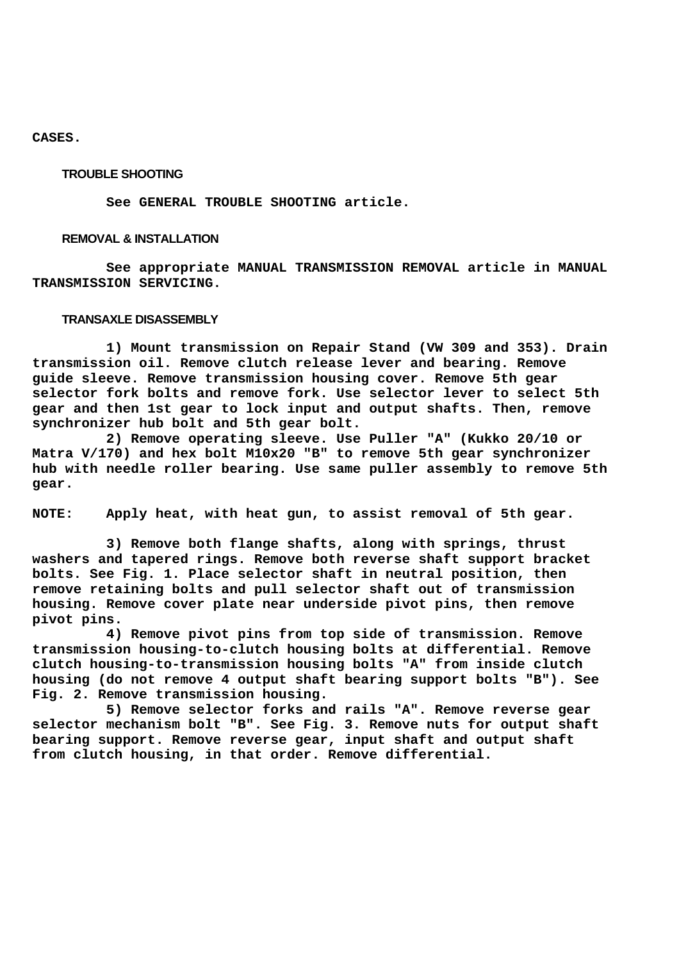**CASES.**

## **TROUBLE SHOOTING**

 **See GENERAL TROUBLE SHOOTING article.**

## **REMOVAL & INSTALLATION**

 **See appropriate MANUAL TRANSMISSION REMOVAL article in MANUAL TRANSMISSION SERVICING.**

#### **TRANSAXLE DISASSEMBLY**

 **1) Mount transmission on Repair Stand (VW 309 and 353). Drain transmission oil. Remove clutch release lever and bearing. Remove guide sleeve. Remove transmission housing cover. Remove 5th gear selector fork bolts and remove fork. Use selector lever to select 5th gear and then 1st gear to lock input and output shafts. Then, remove synchronizer hub bolt and 5th gear bolt.**

 **2) Remove operating sleeve. Use Puller "A" (Kukko 20/10 or Matra V/170) and hex bolt M10x20 "B" to remove 5th gear synchronizer hub with needle roller bearing. Use same puller assembly to remove 5th gear.**

**NOTE: Apply heat, with heat gun, to assist removal of 5th gear.**

 **3) Remove both flange shafts, along with springs, thrust washers and tapered rings. Remove both reverse shaft support bracket bolts. See Fig. 1. Place selector shaft in neutral position, then remove retaining bolts and pull selector shaft out of transmission housing. Remove cover plate near underside pivot pins, then remove pivot pins.**

 **4) Remove pivot pins from top side of transmission. Remove transmission housing-to-clutch housing bolts at differential. Remove clutch housing-to-transmission housing bolts "A" from inside clutch housing (do not remove 4 output shaft bearing support bolts "B"). See Fig. 2. Remove transmission housing.**

 **5) Remove selector forks and rails "A". Remove reverse gear selector mechanism bolt "B". See Fig. 3. Remove nuts for output shaft bearing support. Remove reverse gear, input shaft and output shaft from clutch housing, in that order. Remove differential.**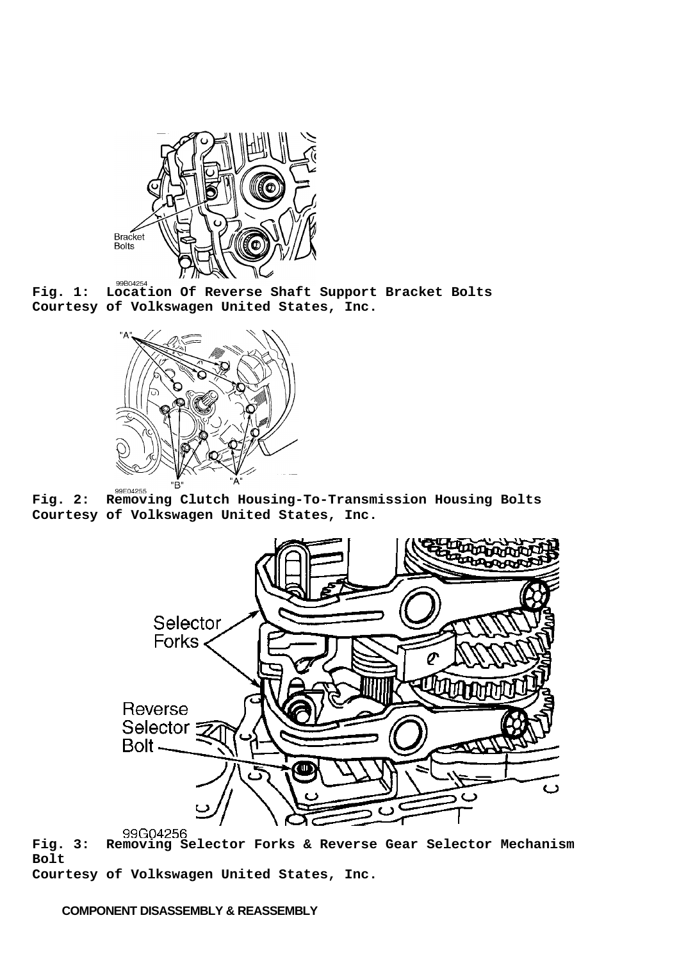

**Fig. 1: Location Of Reverse Shaft Support Bracket Bolts Courtesy of Volkswagen United States, Inc.**



**Fig. 2: Removing Clutch Housing-To-Transmission Housing Bolts Courtesy of Volkswagen United States, Inc.**



**Fig. 3: Removing Selector Forks & Reverse Gear Selector Mechanism Bolt**

**Courtesy of Volkswagen United States, Inc.**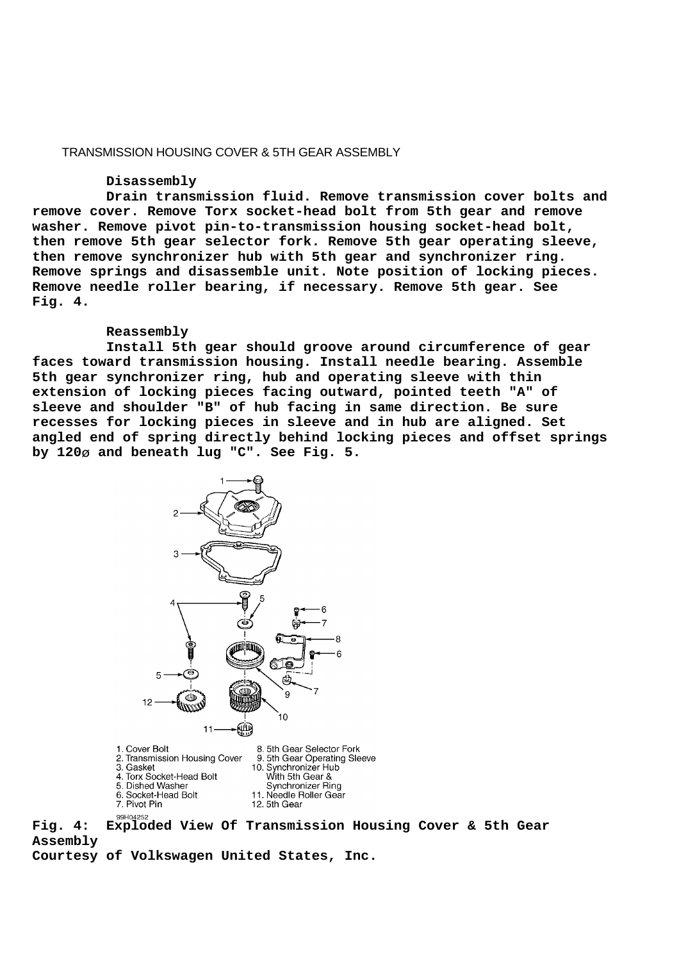## TRANSMISSION HOUSING COVER & 5TH GEAR ASSEMBLY

#### **Disassembly**

 **Drain transmission fluid. Remove transmission cover bolts and remove cover. Remove Torx socket-head bolt from 5th gear and remove washer. Remove pivot pin-to-transmission housing socket-head bolt, then remove 5th gear selector fork. Remove 5th gear operating sleeve, then remove synchronizer hub with 5th gear and synchronizer ring. Remove springs and disassemble unit. Note position of locking pieces. Remove needle roller bearing, if necessary. Remove 5th gear. See Fig. 4.**

#### **Reassembly**

 **Install 5th gear should groove around circumference of gear faces toward transmission housing. Install needle bearing. Assemble 5th gear synchronizer ring, hub and operating sleeve with thin extension of locking pieces facing outward, pointed teeth "A" of sleeve and shoulder "B" of hub facing in same direction. Be sure recesses for locking pieces in sleeve and in hub are aligned. Set angled end of spring directly behind locking pieces and offset springs by 120**ø **and beneath lug "C". See Fig. 5.**



**Courtesy of Volkswagen United States, Inc.**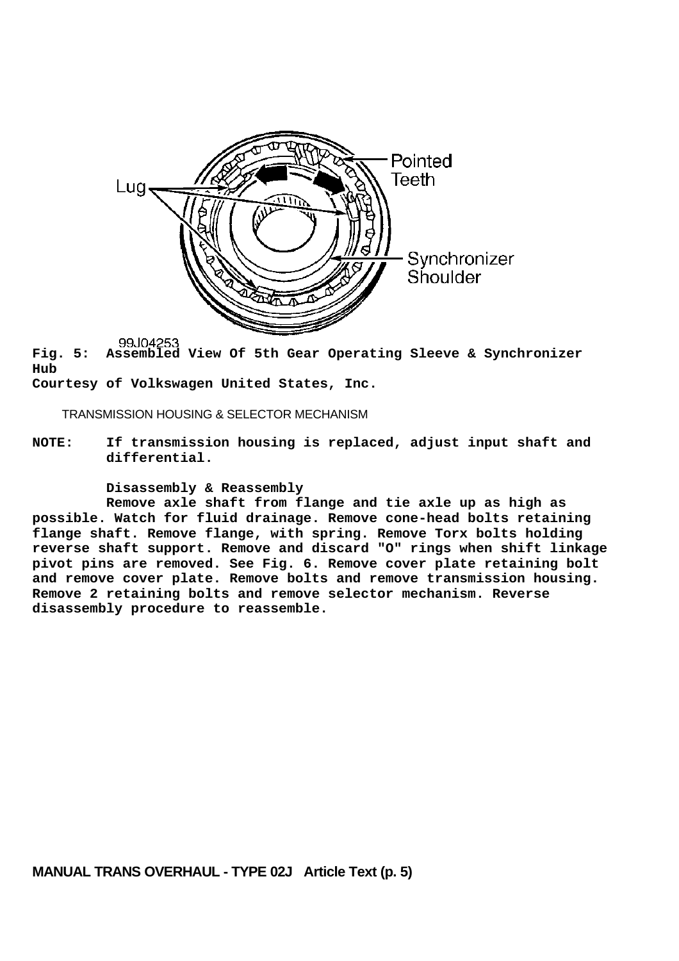

**Fig. 5: Assembled View Of 5th Gear Operating Sleeve & Synchronizer Hub**

**Courtesy of Volkswagen United States, Inc.**

TRANSMISSION HOUSING & SELECTOR MECHANISM

**NOTE: If transmission housing is replaced, adjust input shaft and differential.**

 **Disassembly & Reassembly**

 **Remove axle shaft from flange and tie axle up as high as possible. Watch for fluid drainage. Remove cone-head bolts retaining flange shaft. Remove flange, with spring. Remove Torx bolts holding reverse shaft support. Remove and discard "O" rings when shift linkage pivot pins are removed. See Fig. 6. Remove cover plate retaining bolt and remove cover plate. Remove bolts and remove transmission housing. Remove 2 retaining bolts and remove selector mechanism. Reverse disassembly procedure to reassemble.**

**MANUAL TRANS OVERHAUL - TYPE 02J Article Text (p. 5)**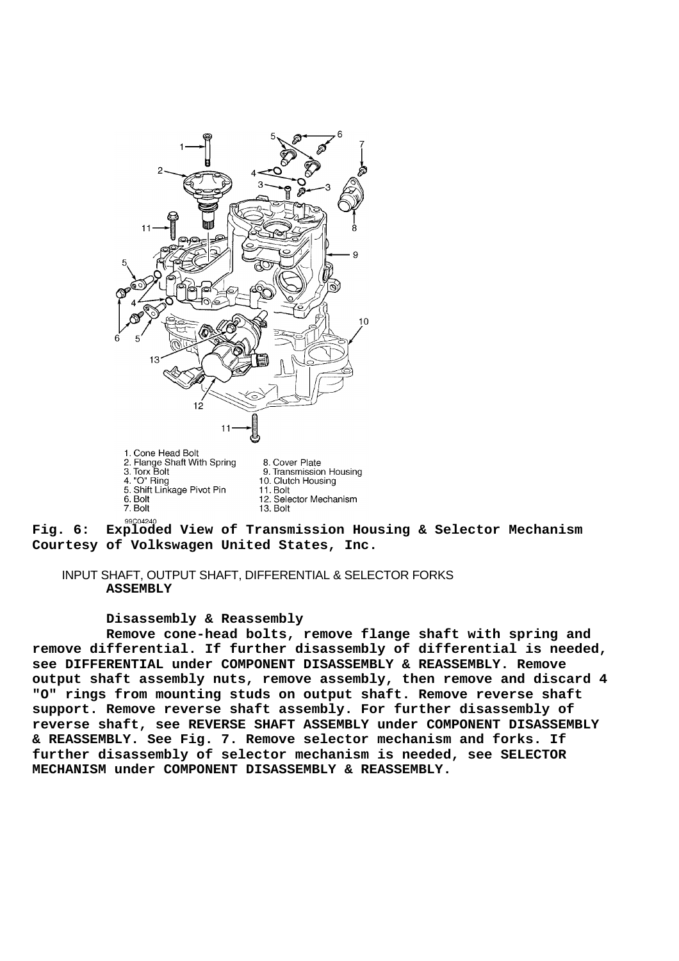

**Fig. 6: Exploded View of Transmission Housing & Selector Mechanism Courtesy of Volkswagen United States, Inc.**

 INPUT SHAFT, OUTPUT SHAFT, DIFFERENTIAL & SELECTOR FORKS  **ASSEMBLY**

 **Disassembly & Reassembly**

 **Remove cone-head bolts, remove flange shaft with spring and remove differential. If further disassembly of differential is needed, see DIFFERENTIAL under COMPONENT DISASSEMBLY & REASSEMBLY. Remove output shaft assembly nuts, remove assembly, then remove and discard 4 "O" rings from mounting studs on output shaft. Remove reverse shaft support. Remove reverse shaft assembly. For further disassembly of reverse shaft, see REVERSE SHAFT ASSEMBLY under COMPONENT DISASSEMBLY & REASSEMBLY. See Fig. 7. Remove selector mechanism and forks. If further disassembly of selector mechanism is needed, see SELECTOR MECHANISM under COMPONENT DISASSEMBLY & REASSEMBLY.**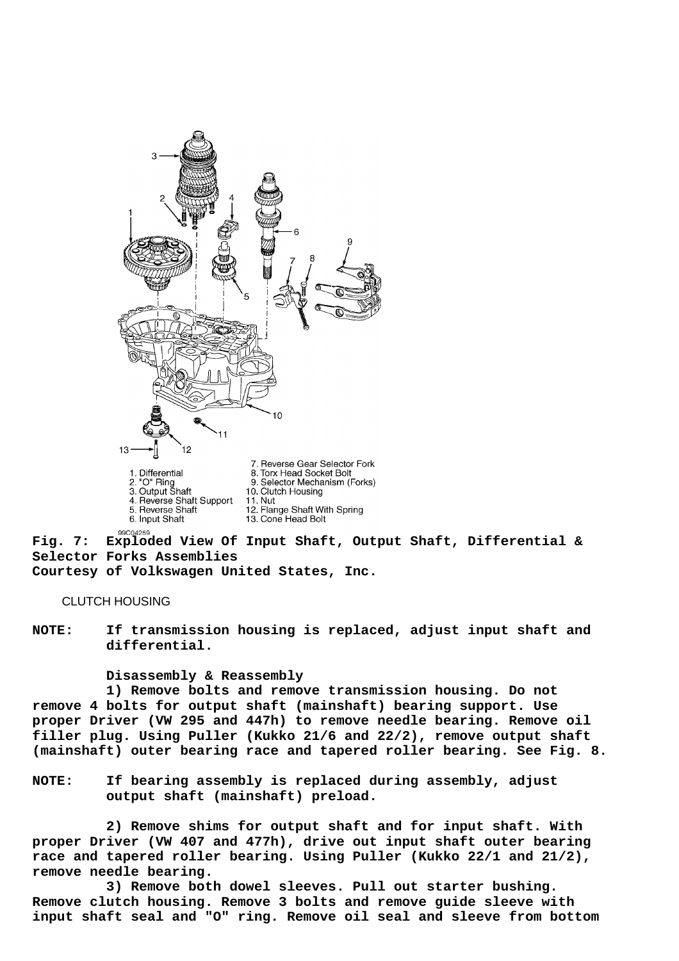

**Fig. 7: Exploded View Of Input Shaft, Output Shaft, Differential & Selector Forks Assemblies**

**Courtesy of Volkswagen United States, Inc.**

CLUTCH HOUSING

**NOTE: If transmission housing is replaced, adjust input shaft and differential.**

 **Disassembly & Reassembly**

 **1) Remove bolts and remove transmission housing. Do not remove 4 bolts for output shaft (mainshaft) bearing support. Use proper Driver (VW 295 and 447h) to remove needle bearing. Remove oil filler plug. Using Puller (Kukko 21/6 and 22/2), remove output shaft (mainshaft) outer bearing race and tapered roller bearing. See Fig. 8.**

**NOTE: If bearing assembly is replaced during assembly, adjust output shaft (mainshaft) preload.**

 **2) Remove shims for output shaft and for input shaft. With proper Driver (VW 407 and 477h), drive out input shaft outer bearing race and tapered roller bearing. Using Puller (Kukko 22/1 and 21/2), remove needle bearing.**

 **3) Remove both dowel sleeves. Pull out starter bushing. Remove clutch housing. Remove 3 bolts and remove guide sleeve with input shaft seal and "O" ring. Remove oil seal and sleeve from bottom**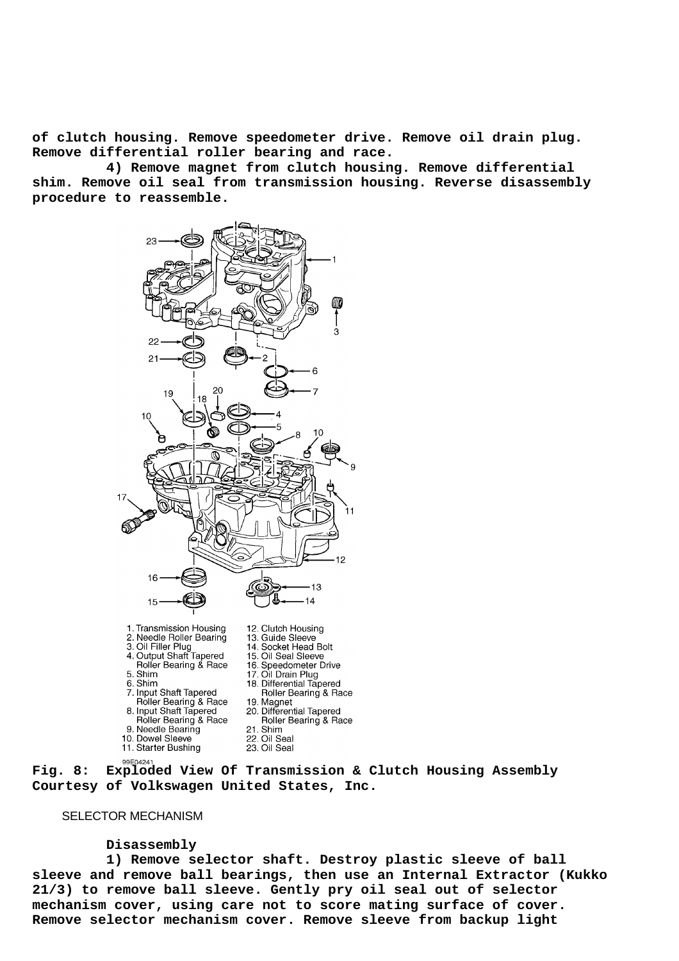**of clutch housing. Remove speedometer drive. Remove oil drain plug. Remove differential roller bearing and race.**

 **4) Remove magnet from clutch housing. Remove differential shim. Remove oil seal from transmission housing. Reverse disassembly procedure to reassemble.**



- 22. Oil Seal<br>23. Oil Seal
- 10. Dowel Sleeve 11. Starter Bushing
	-

**Fig. 8: Exploded View Of Transmission & Clutch Housing Assembly Courtesy of Volkswagen United States, Inc.**

### SELECTOR MECHANISM

99F04241

#### **Disassembly**

 **1) Remove selector shaft. Destroy plastic sleeve of ball sleeve and remove ball bearings, then use an Internal Extractor (Kukko 21/3) to remove ball sleeve. Gently pry oil seal out of selector mechanism cover, using care not to score mating surface of cover. Remove selector mechanism cover. Remove sleeve from backup light**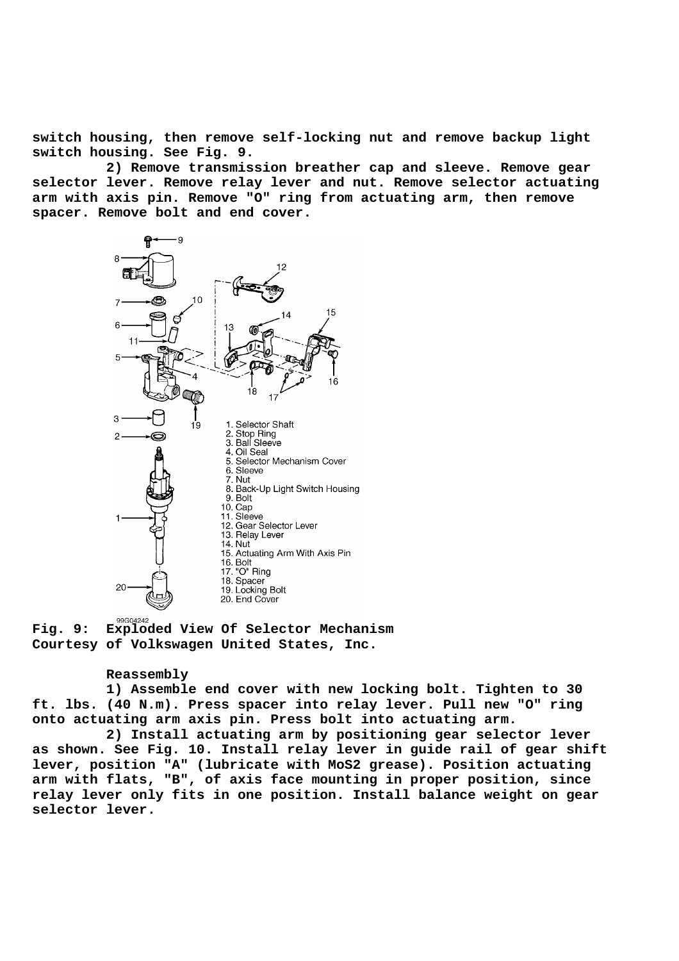**switch housing, then remove self-locking nut and remove backup light switch housing. See Fig. 9.**

 **2) Remove transmission breather cap and sleeve. Remove gear selector lever. Remove relay lever and nut. Remove selector actuating arm with axis pin. Remove "O" ring from actuating arm, then remove spacer. Remove bolt and end cover.**



**Fig. 9: Exploded View Of Selector Mechanism Courtesy of Volkswagen United States, Inc.**

### **Reassembly**

 **1) Assemble end cover with new locking bolt. Tighten to 30 ft. lbs. (40 N.m). Press spacer into relay lever. Pull new "O" ring onto actuating arm axis pin. Press bolt into actuating arm.**

 **2) Install actuating arm by positioning gear selector lever as shown. See Fig. 10. Install relay lever in guide rail of gear shift lever, position "A" (lubricate with MoS2 grease). Position actuating arm with flats, "B", of axis face mounting in proper position, since relay lever only fits in one position. Install balance weight on gear selector lever.**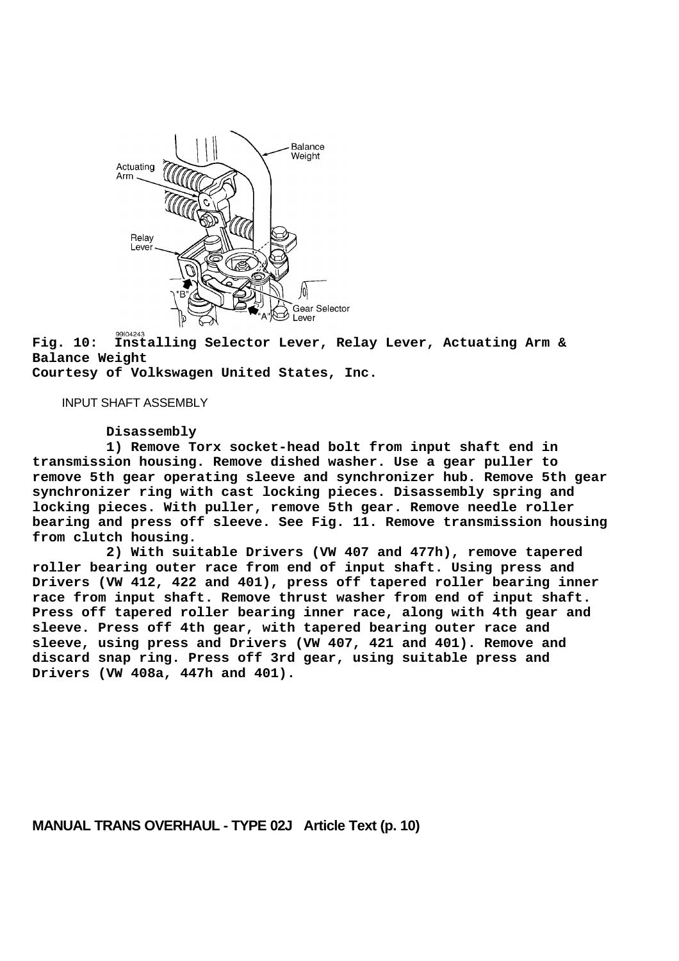

**Fig. 10: Installing Selector Lever, Relay Lever, Actuating Arm & Balance Weight**

**Courtesy of Volkswagen United States, Inc.**

INPUT SHAFT ASSEMBLY

#### **Disassembly**

 **1) Remove Torx socket-head bolt from input shaft end in transmission housing. Remove dished washer. Use a gear puller to remove 5th gear operating sleeve and synchronizer hub. Remove 5th gear synchronizer ring with cast locking pieces. Disassembly spring and locking pieces. With puller, remove 5th gear. Remove needle roller bearing and press off sleeve. See Fig. 11. Remove transmission housing from clutch housing.**

 **2) With suitable Drivers (VW 407 and 477h), remove tapered roller bearing outer race from end of input shaft. Using press and Drivers (VW 412, 422 and 401), press off tapered roller bearing inner race from input shaft. Remove thrust washer from end of input shaft. Press off tapered roller bearing inner race, along with 4th gear and sleeve. Press off 4th gear, with tapered bearing outer race and sleeve, using press and Drivers (VW 407, 421 and 401). Remove and discard snap ring. Press off 3rd gear, using suitable press and Drivers (VW 408a, 447h and 401).**

**MANUAL TRANS OVERHAUL - TYPE 02J Article Text (p. 10)**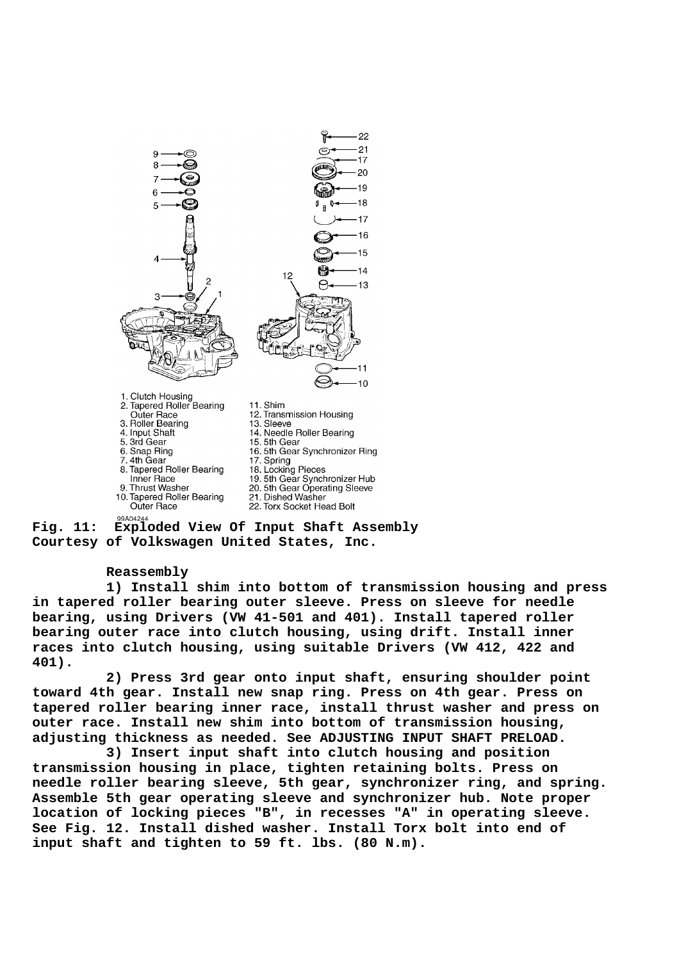

**Fig. 11: Exploded View Of Input Shaft Assembly Courtesy of Volkswagen United States, Inc.**

## **Reassembly**

 **1) Install shim into bottom of transmission housing and press in tapered roller bearing outer sleeve. Press on sleeve for needle bearing, using Drivers (VW 41-501 and 401). Install tapered roller bearing outer race into clutch housing, using drift. Install inner races into clutch housing, using suitable Drivers (VW 412, 422 and 401).**

 **2) Press 3rd gear onto input shaft, ensuring shoulder point toward 4th gear. Install new snap ring. Press on 4th gear. Press on tapered roller bearing inner race, install thrust washer and press on outer race. Install new shim into bottom of transmission housing, adjusting thickness as needed. See ADJUSTING INPUT SHAFT PRELOAD.**

 **3) Insert input shaft into clutch housing and position transmission housing in place, tighten retaining bolts. Press on needle roller bearing sleeve, 5th gear, synchronizer ring, and spring. Assemble 5th gear operating sleeve and synchronizer hub. Note proper location of locking pieces "B", in recesses "A" in operating sleeve. See Fig. 12. Install dished washer. Install Torx bolt into end of input shaft and tighten to 59 ft. lbs. (80 N.m).**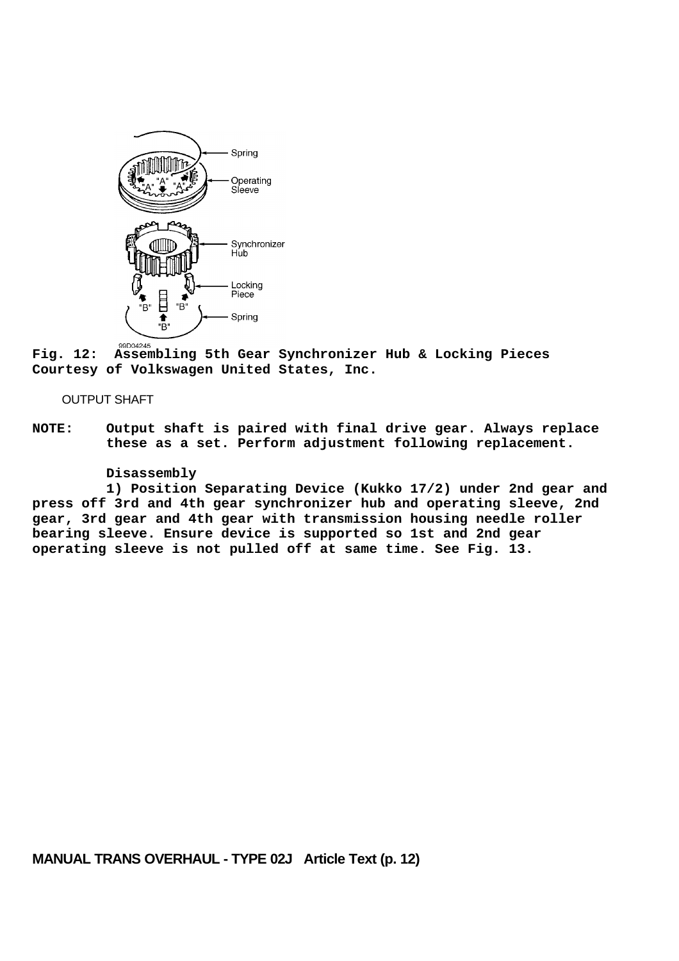

**Fig. 12: Assembling 5th Gear Synchronizer Hub & Locking Pieces Courtesy of Volkswagen United States, Inc.**

OUTPUT SHAFT

**NOTE: Output shaft is paired with final drive gear. Always replace these as a set. Perform adjustment following replacement.**

#### **Disassembly**

 **1) Position Separating Device (Kukko 17/2) under 2nd gear and press off 3rd and 4th gear synchronizer hub and operating sleeve, 2nd gear, 3rd gear and 4th gear with transmission housing needle roller bearing sleeve. Ensure device is supported so 1st and 2nd gear operating sleeve is not pulled off at same time. See Fig. 13.**

**MANUAL TRANS OVERHAUL - TYPE 02J Article Text (p. 12)**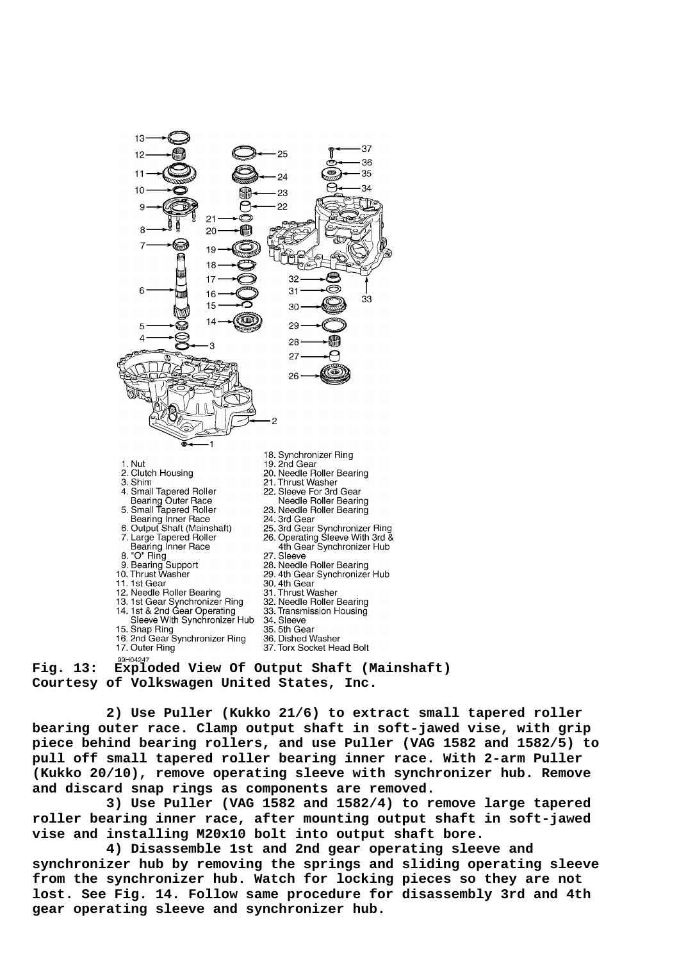

**Fig. 13: Exploded View Of Output Shaft (Mainshaft) Courtesy of Volkswagen United States, Inc.**

 **2) Use Puller (Kukko 21/6) to extract small tapered roller bearing outer race. Clamp output shaft in soft-jawed vise, with grip piece behind bearing rollers, and use Puller (VAG 1582 and 1582/5) to pull off small tapered roller bearing inner race. With 2-arm Puller (Kukko 20/10), remove operating sleeve with synchronizer hub. Remove and discard snap rings as components are removed.**

 **3) Use Puller (VAG 1582 and 1582/4) to remove large tapered roller bearing inner race, after mounting output shaft in soft-jawed vise and installing M20x10 bolt into output shaft bore.**

 **4) Disassemble 1st and 2nd gear operating sleeve and synchronizer hub by removing the springs and sliding operating sleeve from the synchronizer hub. Watch for locking pieces so they are not lost. See Fig. 14. Follow same procedure for disassembly 3rd and 4th gear operating sleeve and synchronizer hub.**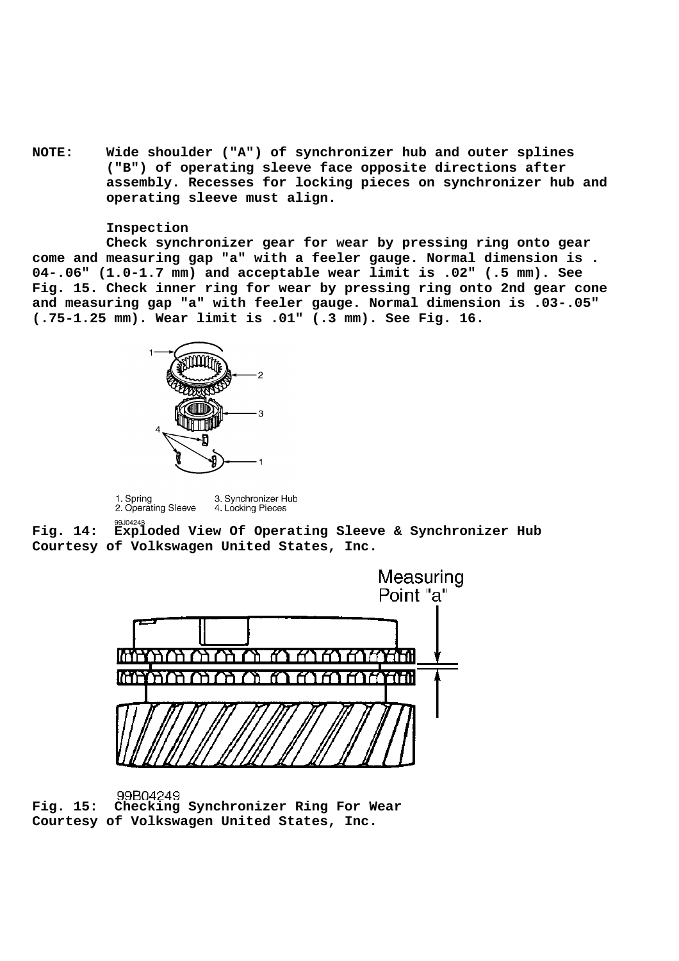**NOTE: Wide shoulder ("A") of synchronizer hub and outer splines ("B") of operating sleeve face opposite directions after assembly. Recesses for locking pieces on synchronizer hub and operating sleeve must align.**

### **Inspection**

 **Check synchronizer gear for wear by pressing ring onto gear come and measuring gap "a" with a feeler gauge. Normal dimension is . 04-.06" (1.0-1.7 mm) and acceptable wear limit is .02" (.5 mm). See Fig. 15. Check inner ring for wear by pressing ring onto 2nd gear cone and measuring gap "a" with feeler gauge. Normal dimension is .03-.05" (.75-1.25 mm). Wear limit is .01" (.3 mm). See Fig. 16.**



1. Spring<br>2. Operating Sleeve 3. Synchronizer Hub 4. Locking Pieces

**Fig. 14: Exploded View Of Operating Sleeve & Synchronizer Hub Courtesy of Volkswagen United States, Inc.**



99B04249 **Fig. 15: Checking Synchronizer Ring For Wear Courtesy of Volkswagen United States, Inc.**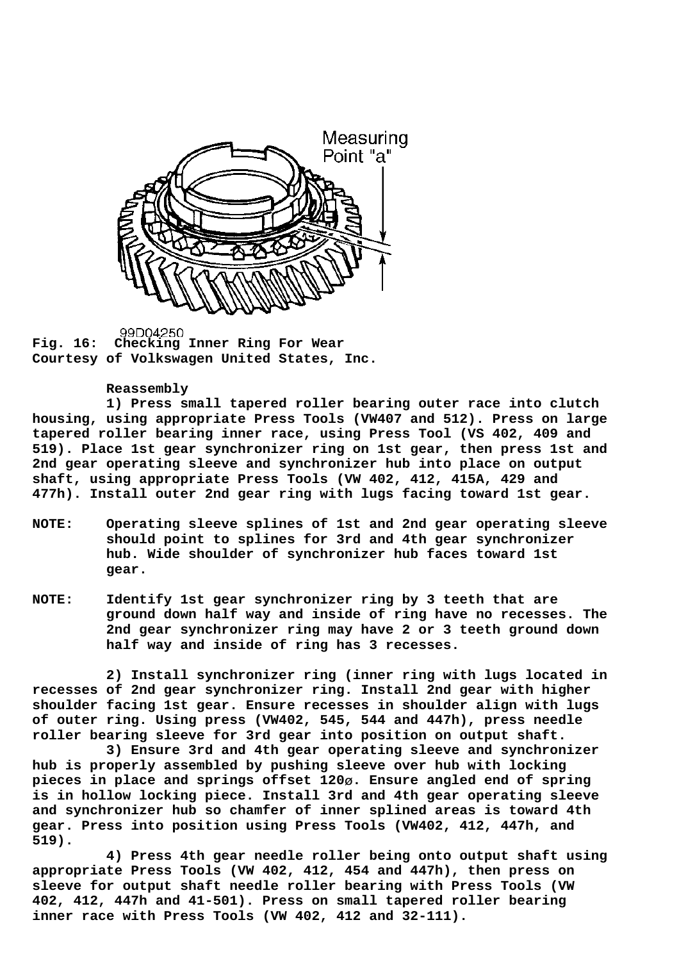

99D04250 **Fig. 16: Checking Inner Ring For Wear Courtesy of Volkswagen United States, Inc.**

### **Reassembly**

 **1) Press small tapered roller bearing outer race into clutch housing, using appropriate Press Tools (VW407 and 512). Press on large tapered roller bearing inner race, using Press Tool (VS 402, 409 and 519). Place 1st gear synchronizer ring on 1st gear, then press 1st and 2nd gear operating sleeve and synchronizer hub into place on output shaft, using appropriate Press Tools (VW 402, 412, 415A, 429 and 477h). Install outer 2nd gear ring with lugs facing toward 1st gear.**

- **NOTE: Operating sleeve splines of 1st and 2nd gear operating sleeve should point to splines for 3rd and 4th gear synchronizer hub. Wide shoulder of synchronizer hub faces toward 1st gear.**
- **NOTE: Identify 1st gear synchronizer ring by 3 teeth that are ground down half way and inside of ring have no recesses. The 2nd gear synchronizer ring may have 2 or 3 teeth ground down half way and inside of ring has 3 recesses.**

 **2) Install synchronizer ring (inner ring with lugs located in recesses of 2nd gear synchronizer ring. Install 2nd gear with higher shoulder facing 1st gear. Ensure recesses in shoulder align with lugs of outer ring. Using press (VW402, 545, 544 and 447h), press needle roller bearing sleeve for 3rd gear into position on output shaft.**

 **3) Ensure 3rd and 4th gear operating sleeve and synchronizer hub is properly assembled by pushing sleeve over hub with locking pieces in place and springs offset 120**ø**. Ensure angled end of spring is in hollow locking piece. Install 3rd and 4th gear operating sleeve and synchronizer hub so chamfer of inner splined areas is toward 4th gear. Press into position using Press Tools (VW402, 412, 447h, and 519).**

 **4) Press 4th gear needle roller being onto output shaft using appropriate Press Tools (VW 402, 412, 454 and 447h), then press on sleeve for output shaft needle roller bearing with Press Tools (VW 402, 412, 447h and 41-501). Press on small tapered roller bearing inner race with Press Tools (VW 402, 412 and 32-111).**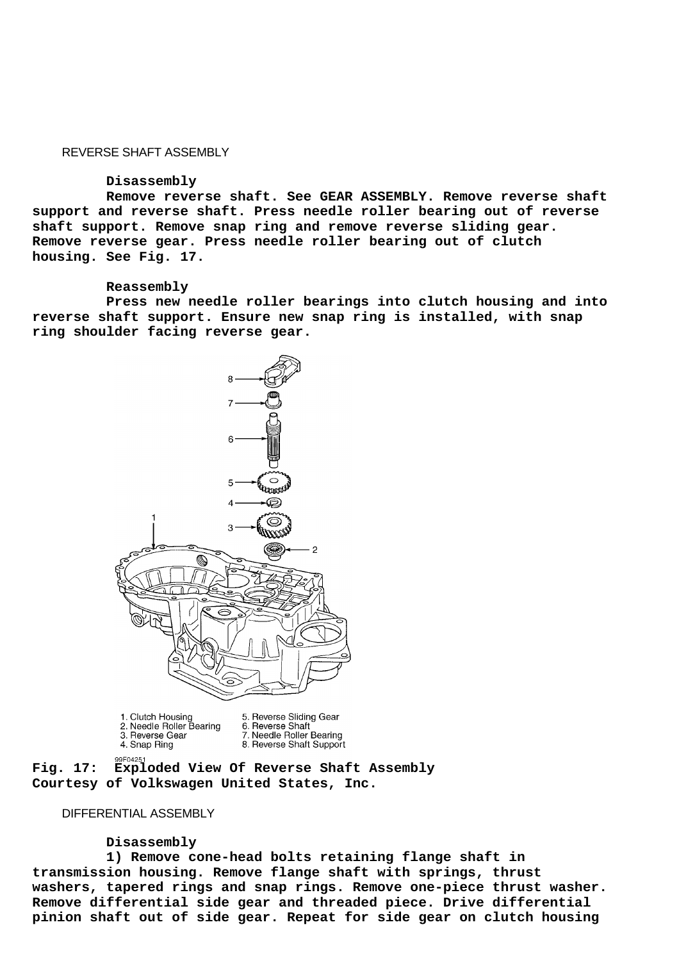### REVERSE SHAFT ASSEMBLY

#### **Disassembly**

 **Remove reverse shaft. See GEAR ASSEMBLY. Remove reverse shaft support and reverse shaft. Press needle roller bearing out of reverse shaft support. Remove snap ring and remove reverse sliding gear. Remove reverse gear. Press needle roller bearing out of clutch housing. See Fig. 17.**

#### **Reassembly**

 **Press new needle roller bearings into clutch housing and into reverse shaft support. Ensure new snap ring is installed, with snap ring shoulder facing reverse gear.**



1. Clutch Housing<br>2. Needle Roller Bearing<br>3. Reverse Gear 5. Reverse Sliding Gear 6. Reverse Shaft<br>7. Needle Roller Bearing 4. Snap Ring 8. Reverse Shaft Support

99F04251

**Fig. 17: Exploded View Of Reverse Shaft Assembly Courtesy of Volkswagen United States, Inc.**

DIFFERENTIAL ASSEMBLY

#### **Disassembly**

 **1) Remove cone-head bolts retaining flange shaft in transmission housing. Remove flange shaft with springs, thrust washers, tapered rings and snap rings. Remove one-piece thrust washer. Remove differential side gear and threaded piece. Drive differential pinion shaft out of side gear. Repeat for side gear on clutch housing**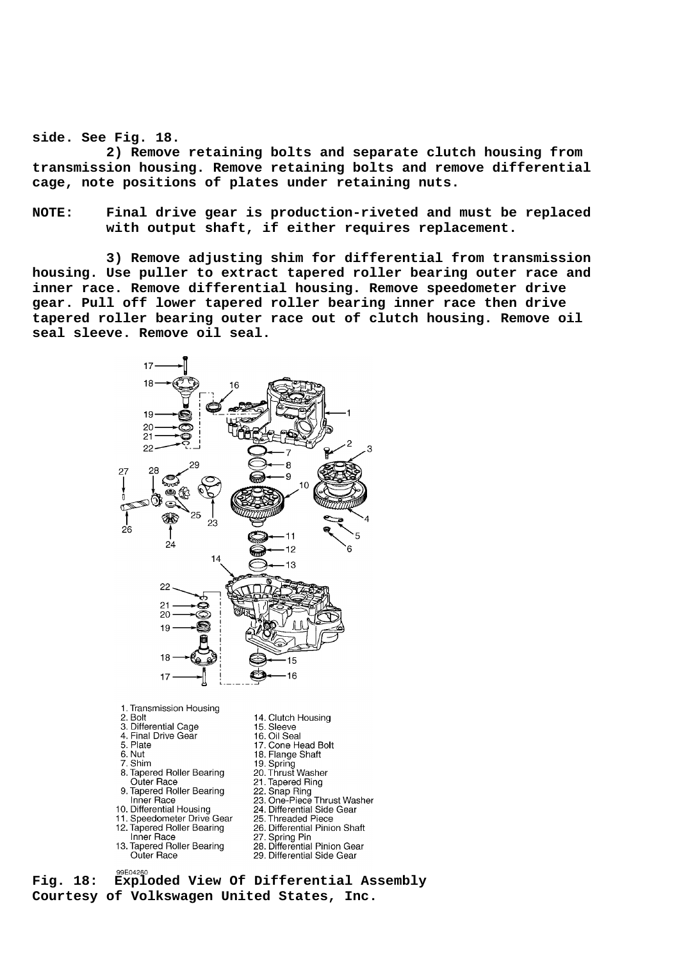#### **side. See Fig. 18.**

 **2) Remove retaining bolts and separate clutch housing from transmission housing. Remove retaining bolts and remove differential cage, note positions of plates under retaining nuts.**

**NOTE: Final drive gear is production-riveted and must be replaced with output shaft, if either requires replacement.**

 **3) Remove adjusting shim for differential from transmission housing. Use puller to extract tapered roller bearing outer race and inner race. Remove differential housing. Remove speedometer drive gear. Pull off lower tapered roller bearing inner race then drive tapered roller bearing outer race out of clutch housing. Remove oil seal sleeve. Remove oil seal.**



**Courtesy of Volkswagen United States, Inc.**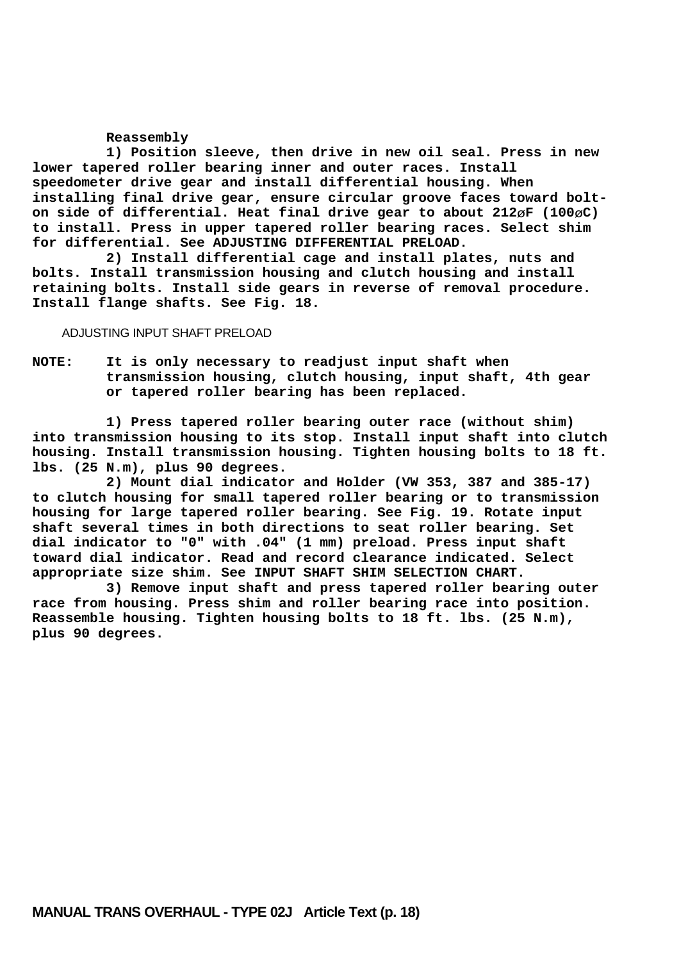### **Reassembly**

 **1) Position sleeve, then drive in new oil seal. Press in new lower tapered roller bearing inner and outer races. Install speedometer drive gear and install differential housing. When installing final drive gear, ensure circular groove faces toward bolton side of differential. Heat final drive gear to about 212**ø**F (100**ø**C) to install. Press in upper tapered roller bearing races. Select shim for differential. See ADJUSTING DIFFERENTIAL PRELOAD.**

 **2) Install differential cage and install plates, nuts and bolts. Install transmission housing and clutch housing and install retaining bolts. Install side gears in reverse of removal procedure. Install flange shafts. See Fig. 18.**

## ADJUSTING INPUT SHAFT PRELOAD

**NOTE: It is only necessary to readjust input shaft when transmission housing, clutch housing, input shaft, 4th gear or tapered roller bearing has been replaced.**

 **1) Press tapered roller bearing outer race (without shim) into transmission housing to its stop. Install input shaft into clutch housing. Install transmission housing. Tighten housing bolts to 18 ft. lbs. (25 N.m), plus 90 degrees.**

 **2) Mount dial indicator and Holder (VW 353, 387 and 385-17) to clutch housing for small tapered roller bearing or to transmission housing for large tapered roller bearing. See Fig. 19. Rotate input shaft several times in both directions to seat roller bearing. Set dial indicator to "0" with .04" (1 mm) preload. Press input shaft toward dial indicator. Read and record clearance indicated. Select appropriate size shim. See INPUT SHAFT SHIM SELECTION CHART.**

 **3) Remove input shaft and press tapered roller bearing outer race from housing. Press shim and roller bearing race into position. Reassemble housing. Tighten housing bolts to 18 ft. lbs. (25 N.m), plus 90 degrees.**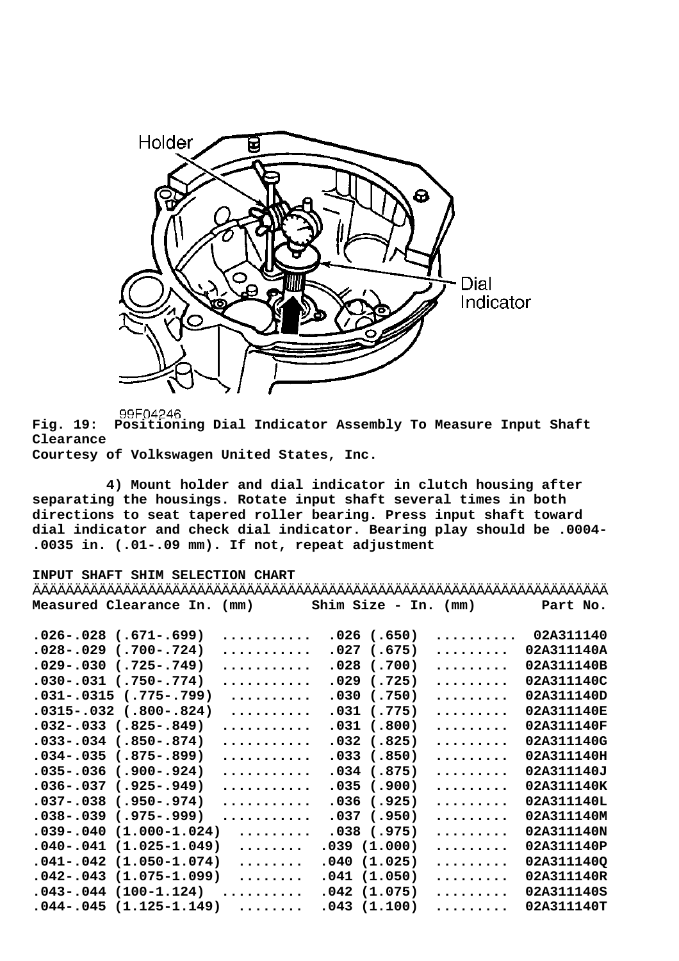

**Fig. 19: Positioning Dial Indicator Assembly To Measure Input Shaft Clearance**

**Courtesy of Volkswagen United States, Inc.**

 **4) Mount holder and dial indicator in clutch housing after separating the housings. Rotate input shaft several times in both directions to seat tapered roller bearing. Press input shaft toward dial indicator and check dial indicator. Bearing play should be .0004- .0035 in. (.01-.09 mm). If not, repeat adjustment**

## **INPUT SHAFT SHIM SELECTION CHART**

| Measured Clearance In. (mm) |   | $Shim Size - In. (mm)$ |   | Part No.   |
|-----------------------------|---|------------------------|---|------------|
|                             |   |                        |   |            |
| $.026-.028$ (.671-.699)     | . | $.026$ (.650)          | . | 02A311140  |
| $.028-.029$ (.700-.724)     | . | $.027$ (.675)          | . | 02A311140A |
| $.029-.030$ (.725-.749)     | . | $.028$ (.700)          | . | 02A311140B |
| $.030-.031$ (.750-.774)     | . | $.029$ (.725)          | . | 02A311140C |
| $.031-.0315$ (.775-.799)    | . | $.030$ (.750)          | . | 02A311140D |
| $.0315-.032$ (.800-.824)    | . | $.031$ $(.775)$        | . | 02A311140E |
| $.032-.033$ (.825-.849)     | . | $.031$ $(.800)$        | . | 02A311140F |
| $.033-.034$ (.850-.874)     | . | $.032$ $(.825)$        | . | 02A311140G |
| $.034-.035$ (.875-.899)     | . | $.033$ (.850)          | . | 02A311140H |
| $.035-.036$ (.900-.924)     | . | $.034$ (.875)          | . | 02A311140J |
| $.036-.037$ (.925-.949)     | . | $.035$ (.900)          | . | 02A311140K |
| $.037-.038$ (.950-.974)     | . | $.036$ (.925)          | . | 02A311140L |
| $.038-.039$ (.975-.999)     | . | $.037$ (.950)          | . | 02A311140M |
| $.039-.040$ $(1.000-1.024)$ | . | $.038$ (.975)          | . | 02A311140N |
| $.040-.041$ $(1.025-1.049)$ | . | .039(1.000)            | . | 02A311140P |
| $.041-.042$ $(1.050-1.074)$ | . | .040(1.025)            | . | 02A311140Q |
| $.042-.043$ (1.075-1.099)   | . | .041(1.050)            | . | 02A311140R |
| $.043-.044$ (100-1.124)     | . | $.042$ $(1.075)$       | . | 02A311140S |
| $.044-.045$ (1.125-1.149)   | . | .043(1.100)            | . | 02A311140T |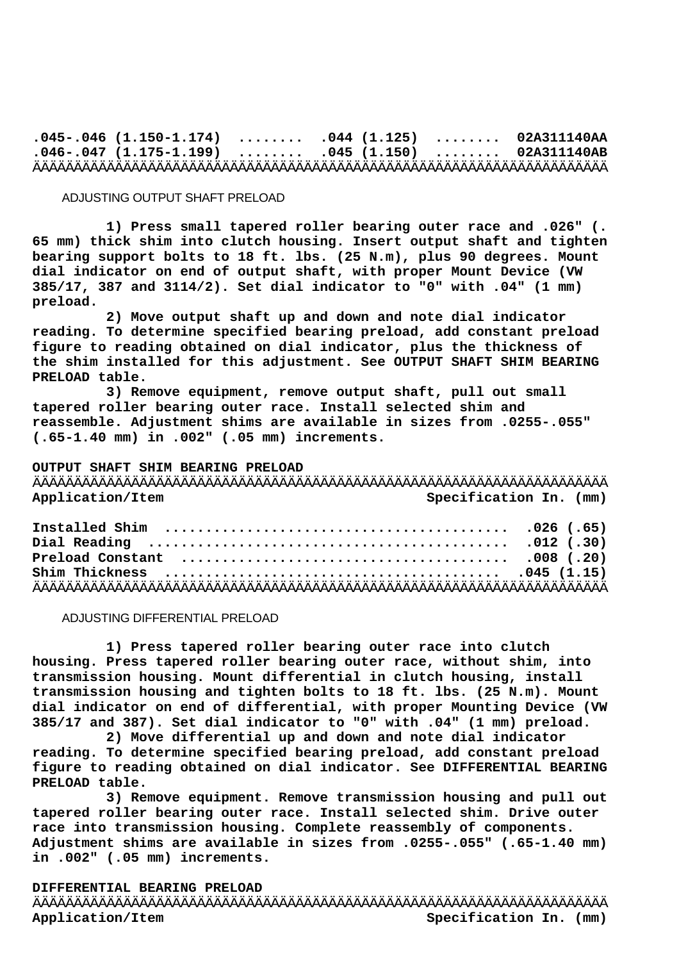## **.045-.046 (1.150-1.174) ........ .044 (1.125) ........ 02A311140AA .046-.047 (1.175-1.199) ........ .045 (1.150) ........ 02A311140AB** ÄÄÄÄÄÄÄÄÄÄÄÄÄÄÄÄÄÄÄÄÄÄÄÄÄÄÄÄÄÄÄÄÄÄÄÄÄÄÄÄÄÄÄÄÄÄÄÄÄÄÄÄÄÄÄÄÄÄÄÄÄÄÄÄÄÄÄÄÄÄ

## ADJUSTING OUTPUT SHAFT PRELOAD

 **1) Press small tapered roller bearing outer race and .026" (. 65 mm) thick shim into clutch housing. Insert output shaft and tighten bearing support bolts to 18 ft. lbs. (25 N.m), plus 90 degrees. Mount dial indicator on end of output shaft, with proper Mount Device (VW 385/17, 387 and 3114/2). Set dial indicator to "0" with .04" (1 mm) preload.**

 **2) Move output shaft up and down and note dial indicator reading. To determine specified bearing preload, add constant preload figure to reading obtained on dial indicator, plus the thickness of the shim installed for this adjustment. See OUTPUT SHAFT SHIM BEARING PRELOAD table.**

 **3) Remove equipment, remove output shaft, pull out small tapered roller bearing outer race. Install selected shim and reassemble. Adjustment shims are available in sizes from .0255-.055" (.65-1.40 mm) in .002" (.05 mm) increments.**

### **OUTPUT SHAFT SHIM BEARING PRELOAD**

ÄÄÄÄÄÄÄÄÄÄÄÄÄÄÄÄÄÄÄÄÄÄÄÄÄÄÄÄÄÄÄÄÄÄÄÄÄÄÄÄÄÄÄÄÄÄÄÄÄÄÄÄÄÄÄÄÄÄÄÄÄÄÄÄÄÄÄÄÄÄ **Application/Item Specification In. (mm)**

| Preload Constant (1000) (1000) (1000) (1000) (1000) (1000) (1000) (1000) (1000) (1000) (1000) (1000) (1000) (1 |  |
|----------------------------------------------------------------------------------------------------------------|--|
|                                                                                                                |  |
|                                                                                                                |  |

### ADJUSTING DIFFERENTIAL PRELOAD

 **1) Press tapered roller bearing outer race into clutch housing. Press tapered roller bearing outer race, without shim, into transmission housing. Mount differential in clutch housing, install transmission housing and tighten bolts to 18 ft. lbs. (25 N.m). Mount dial indicator on end of differential, with proper Mounting Device (VW 385/17 and 387). Set dial indicator to "0" with .04" (1 mm) preload.**

 **2) Move differential up and down and note dial indicator reading. To determine specified bearing preload, add constant preload figure to reading obtained on dial indicator. See DIFFERENTIAL BEARING PRELOAD table.**

 **3) Remove equipment. Remove transmission housing and pull out tapered roller bearing outer race. Install selected shim. Drive outer race into transmission housing. Complete reassembly of components. Adjustment shims are available in sizes from .0255-.055" (.65-1.40 mm) in .002" (.05 mm) increments.**

#### **DIFFERENTIAL BEARING PRELOAD**

ÄÄÄÄÄÄÄÄÄÄÄÄÄÄÄÄÄÄÄÄÄÄÄÄÄÄÄÄÄÄÄÄÄÄÄÄÄÄÄÄÄÄÄÄÄÄÄÄÄÄÄÄÄÄÄÄÄÄÄÄÄÄÄÄÄÄÄÄÄÄ Application/Item **Specification In.** (mm)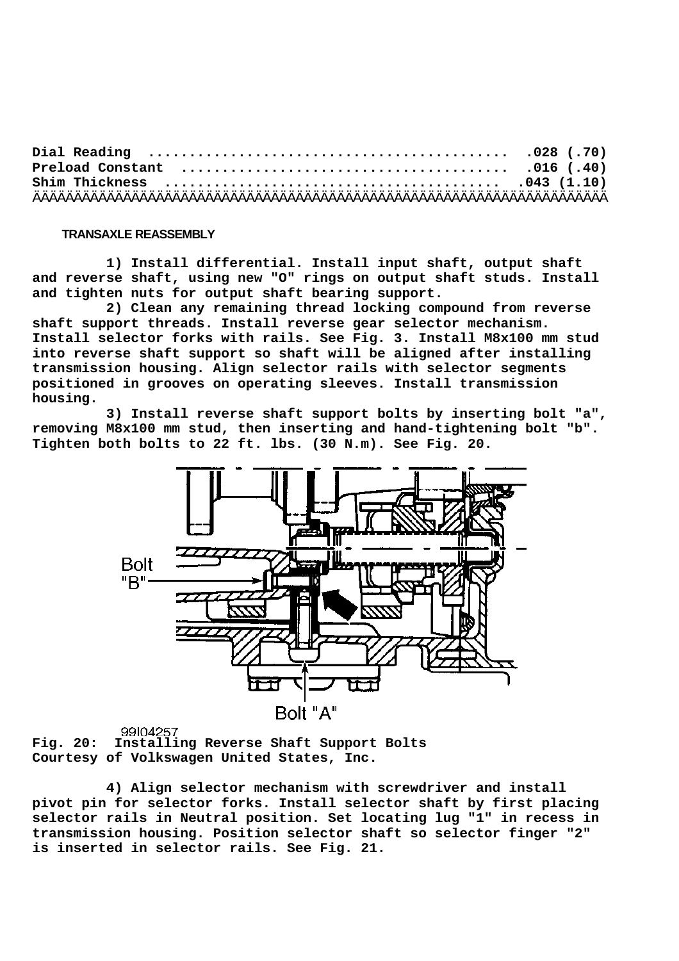### **TRANSAXLE REASSEMBLY**

 **1) Install differential. Install input shaft, output shaft and reverse shaft, using new "O" rings on output shaft studs. Install and tighten nuts for output shaft bearing support.**

 **2) Clean any remaining thread locking compound from reverse shaft support threads. Install reverse gear selector mechanism. Install selector forks with rails. See Fig. 3. Install M8x100 mm stud into reverse shaft support so shaft will be aligned after installing transmission housing. Align selector rails with selector segments positioned in grooves on operating sleeves. Install transmission housing.**

 **3) Install reverse shaft support bolts by inserting bolt "a", removing M8x100 mm stud, then inserting and hand-tightening bolt "b". Tighten both bolts to 22 ft. lbs. (30 N.m). See Fig. 20.**



99104257 **Fig. 20: Installing Reverse Shaft Support Bolts Courtesy of Volkswagen United States, Inc.**

 **4) Align selector mechanism with screwdriver and install pivot pin for selector forks. Install selector shaft by first placing selector rails in Neutral position. Set locating lug "1" in recess in transmission housing. Position selector shaft so selector finger "2" is inserted in selector rails. See Fig. 21.**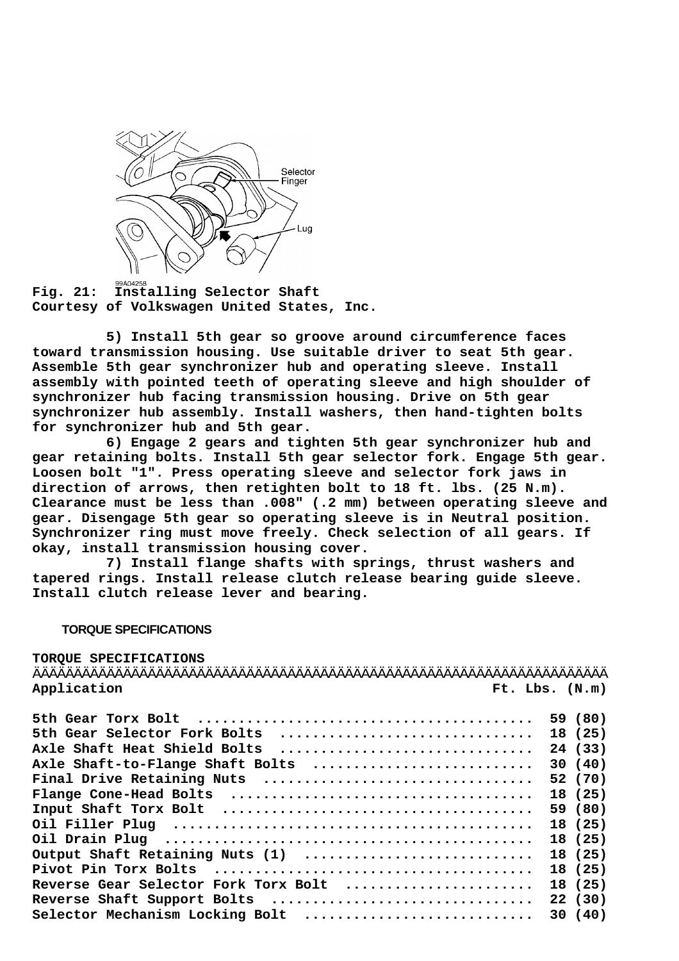

**Fig. 21: Installing Selector Shaft Courtesy of Volkswagen United States, Inc.**

 **5) Install 5th gear so groove around circumference faces toward transmission housing. Use suitable driver to seat 5th gear. Assemble 5th gear synchronizer hub and operating sleeve. Install assembly with pointed teeth of operating sleeve and high shoulder of synchronizer hub facing transmission housing. Drive on 5th gear synchronizer hub assembly. Install washers, then hand-tighten bolts for synchronizer hub and 5th gear.**

 **6) Engage 2 gears and tighten 5th gear synchronizer hub and gear retaining bolts. Install 5th gear selector fork. Engage 5th gear. Loosen bolt "1". Press operating sleeve and selector fork jaws in direction of arrows, then retighten bolt to 18 ft. lbs. (25 N.m). Clearance must be less than .008" (.2 mm) between operating sleeve and gear. Disengage 5th gear so operating sleeve is in Neutral position. Synchronizer ring must move freely. Check selection of all gears. If okay, install transmission housing cover.**

 **7) Install flange shafts with springs, thrust washers and tapered rings. Install release clutch release bearing guide sleeve. Install clutch release lever and bearing.**

## **TORQUE SPECIFICATIONS**

# **TORQUE SPECIFICATIONS** ÄÄÄÄÄÄÄÄÄÄÄÄÄÄÄÄÄÄÄÄÄÄÄÄÄÄÄÄÄÄÄÄÄÄÄÄÄÄÄÄÄÄÄÄÄÄÄÄÄÄÄÄÄÄÄÄÄÄÄÄÄÄÄÄÄÄÄÄÄÄ **Application Ft. Lbs. (N.m)**

|                                      | 59 (80) |
|--------------------------------------|---------|
| 5th Gear Selector Fork Bolts         | 18 (25) |
| Axle Shaft Heat Shield Bolts         | 24 (33) |
| Axle Shaft-to-Flange Shaft Bolts     | 30(40)  |
| Final Drive Retaining Nuts           | 52 (70) |
|                                      | 18 (25) |
|                                      | 59 (80) |
|                                      | 18 (25) |
|                                      | 18 (25) |
| Output Shaft Retaining Nuts (1)      | 18 (25) |
|                                      | 18 (25) |
| Reverse Gear Selector Fork Torx Bolt | 18 (25) |
| Reverse Shaft Support Bolts          | 22(30)  |
| Selector Mechanism Locking Bolt      | 30(40)  |
|                                      |         |